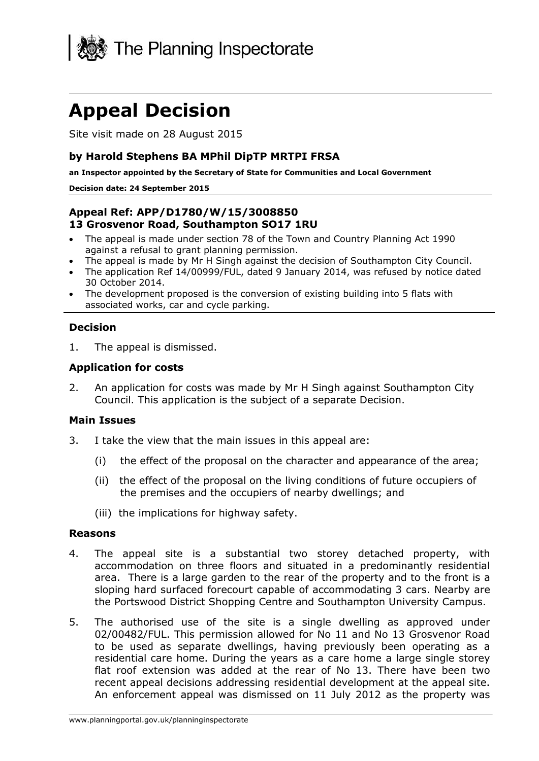

# **Appeal Decision**

Site visit made on 28 August 2015

## **by Harold Stephens BA MPhil DipTP MRTPI FRSA**

**an Inspector appointed by the Secretary of State for Communities and Local Government**

#### **Decision date: 24 September 2015**

## **Appeal Ref: APP/D1780/W/15/3008850 13 Grosvenor Road, Southampton SO17 1RU**

- The appeal is made under section 78 of the Town and Country Planning Act 1990 against a refusal to grant planning permission.
- The appeal is made by Mr H Singh against the decision of Southampton City Council.
- The application Ref 14/00999/FUL, dated 9 January 2014, was refused by notice dated 30 October 2014.
- The development proposed is the conversion of existing building into 5 flats with associated works, car and cycle parking.

## **Decision**

1. The appeal is dismissed.

## **Application for costs**

2. An application for costs was made by Mr H Singh against Southampton City Council. This application is the subject of a separate Decision.

## **Main Issues**

- 3. I take the view that the main issues in this appeal are:
	- (i) the effect of the proposal on the character and appearance of the area;
	- (ii) the effect of the proposal on the living conditions of future occupiers of the premises and the occupiers of nearby dwellings; and
	- (iii) the implications for highway safety.

#### **Reasons**

- 4. The appeal site is a substantial two storey detached property, with accommodation on three floors and situated in a predominantly residential area. There is a large garden to the rear of the property and to the front is a sloping hard surfaced forecourt capable of accommodating 3 cars. Nearby are the Portswood District Shopping Centre and Southampton University Campus.
- 5. The authorised use of the site is a single dwelling as approved under 02/00482/FUL. This permission allowed for No 11 and No 13 Grosvenor Road to be used as separate dwellings, having previously been operating as a residential care home. During the years as a care home a large single storey flat roof extension was added at the rear of No 13. There have been two recent appeal decisions addressing residential development at the appeal site. An enforcement appeal was dismissed on 11 July 2012 as the property was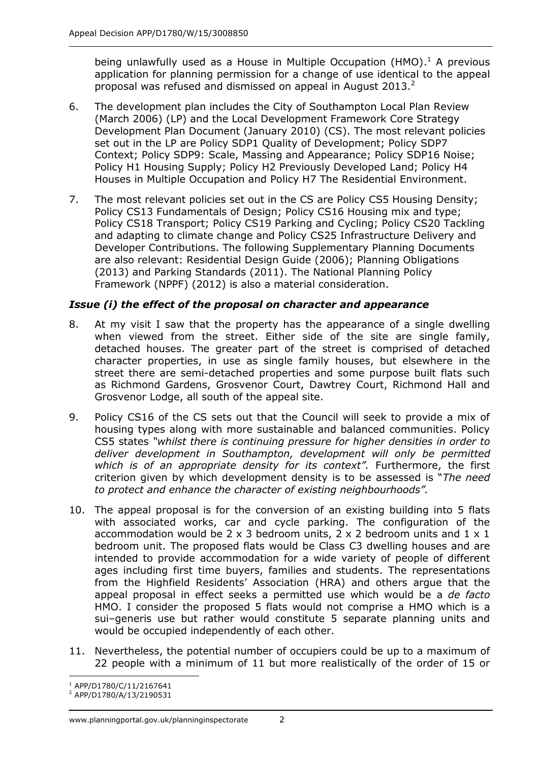being unlawfully used as a House in Multiple Occupation (HMO).<sup>1</sup> A previous application for planning permission for a change of use identical to the appeal proposal was refused and dismissed on appeal in August 2013. $^2$ 

- 6. The development plan includes the City of Southampton Local Plan Review (March 2006) (LP) and the Local Development Framework Core Strategy Development Plan Document (January 2010) (CS). The most relevant policies set out in the LP are Policy SDP1 Quality of Development; Policy SDP7 Context; Policy SDP9: Scale, Massing and Appearance; Policy SDP16 Noise; Policy H1 Housing Supply; Policy H2 Previously Developed Land; Policy H4 Houses in Multiple Occupation and Policy H7 The Residential Environment.
- 7. The most relevant policies set out in the CS are Policy CS5 Housing Density; Policy CS13 Fundamentals of Design; Policy CS16 Housing mix and type; Policy CS18 Transport; Policy CS19 Parking and Cycling; Policy CS20 Tackling and adapting to climate change and Policy CS25 Infrastructure Delivery and Developer Contributions. The following Supplementary Planning Documents are also relevant: Residential Design Guide (2006); Planning Obligations (2013) and Parking Standards (2011). The National Planning Policy Framework (NPPF) (2012) is also a material consideration.

# *Issue (i) the effect of the proposal on character and appearance*

- 8. At my visit I saw that the property has the appearance of a single dwelling when viewed from the street. Either side of the site are single family, detached houses. The greater part of the street is comprised of detached character properties, in use as single family houses, but elsewhere in the street there are semi-detached properties and some purpose built flats such as Richmond Gardens, Grosvenor Court, Dawtrey Court, Richmond Hall and Grosvenor Lodge, all south of the appeal site.
- 9. Policy CS16 of the CS sets out that the Council will seek to provide a mix of housing types along with more sustainable and balanced communities. Policy CS5 states *"whilst there is continuing pressure for higher densities in order to deliver development in Southampton, development will only be permitted which is of an appropriate density for its context".* Furthermore, the first criterion given by which development density is to be assessed is "*The need to protect and enhance the character of existing neighbourhoods".*
- 10. The appeal proposal is for the conversion of an existing building into 5 flats with associated works, car and cycle parking. The configuration of the accommodation would be 2  $\times$  3 bedroom units, 2  $\times$  2 bedroom units and 1  $\times$  1 bedroom unit. The proposed flats would be Class C3 dwelling houses and are intended to provide accommodation for a wide variety of people of different ages including first time buyers, families and students. The representations from the Highfield Residents' Association (HRA) and others argue that the appeal proposal in effect seeks a permitted use which would be a *de facto* HMO. I consider the proposed 5 flats would not comprise a HMO which is a sui–generis use but rather would constitute 5 separate planning units and would be occupied independently of each other.
- 11. Nevertheless, the potential number of occupiers could be up to a maximum of 22 people with a minimum of 11 but more realistically of the order of 15 or

<sup>-</sup><sup>1</sup> APP/D1780/C/11/2167641

<sup>2</sup> APP/D1780/A/13/2190531

www.planningportal.gov.uk/planninginspectorate 2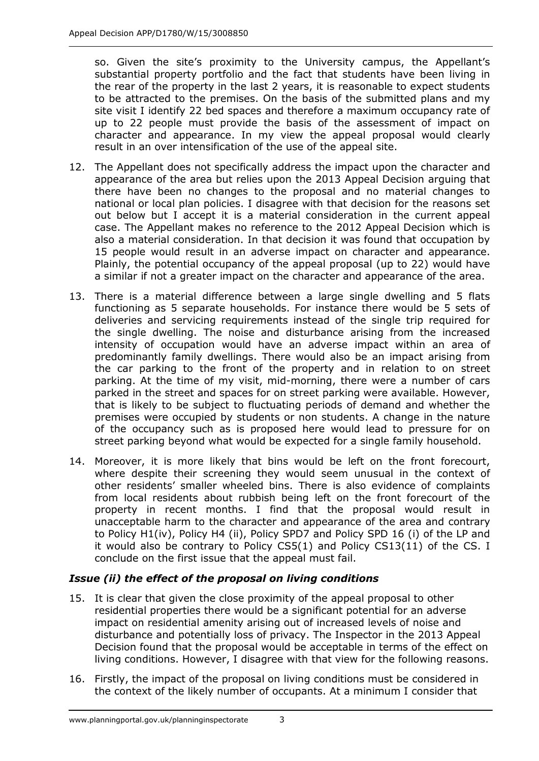so. Given the site's proximity to the University campus, the Appellant's substantial property portfolio and the fact that students have been living in the rear of the property in the last 2 years, it is reasonable to expect students to be attracted to the premises. On the basis of the submitted plans and my site visit I identify 22 bed spaces and therefore a maximum occupancy rate of up to 22 people must provide the basis of the assessment of impact on character and appearance. In my view the appeal proposal would clearly result in an over intensification of the use of the appeal site.

- 12. The Appellant does not specifically address the impact upon the character and appearance of the area but relies upon the 2013 Appeal Decision arguing that there have been no changes to the proposal and no material changes to national or local plan policies. I disagree with that decision for the reasons set out below but I accept it is a material consideration in the current appeal case. The Appellant makes no reference to the 2012 Appeal Decision which is also a material consideration. In that decision it was found that occupation by 15 people would result in an adverse impact on character and appearance. Plainly, the potential occupancy of the appeal proposal (up to 22) would have a similar if not a greater impact on the character and appearance of the area.
- 13. There is a material difference between a large single dwelling and 5 flats functioning as 5 separate households. For instance there would be 5 sets of deliveries and servicing requirements instead of the single trip required for the single dwelling. The noise and disturbance arising from the increased intensity of occupation would have an adverse impact within an area of predominantly family dwellings. There would also be an impact arising from the car parking to the front of the property and in relation to on street parking. At the time of my visit, mid-morning, there were a number of cars parked in the street and spaces for on street parking were available. However, that is likely to be subject to fluctuating periods of demand and whether the premises were occupied by students or non students. A change in the nature of the occupancy such as is proposed here would lead to pressure for on street parking beyond what would be expected for a single family household.
- 14. Moreover, it is more likely that bins would be left on the front forecourt, where despite their screening they would seem unusual in the context of other residents' smaller wheeled bins. There is also evidence of complaints from local residents about rubbish being left on the front forecourt of the property in recent months. I find that the proposal would result in unacceptable harm to the character and appearance of the area and contrary to Policy H1(iv), Policy H4 (ii), Policy SPD7 and Policy SPD 16 (i) of the LP and it would also be contrary to Policy CS5(1) and Policy CS13(11) of the CS. I conclude on the first issue that the appeal must fail.

# *Issue (ii) the effect of the proposal on living conditions*

- 15. It is clear that given the close proximity of the appeal proposal to other residential properties there would be a significant potential for an adverse impact on residential amenity arising out of increased levels of noise and disturbance and potentially loss of privacy. The Inspector in the 2013 Appeal Decision found that the proposal would be acceptable in terms of the effect on living conditions. However, I disagree with that view for the following reasons.
- 16. Firstly, the impact of the proposal on living conditions must be considered in the context of the likely number of occupants. At a minimum I consider that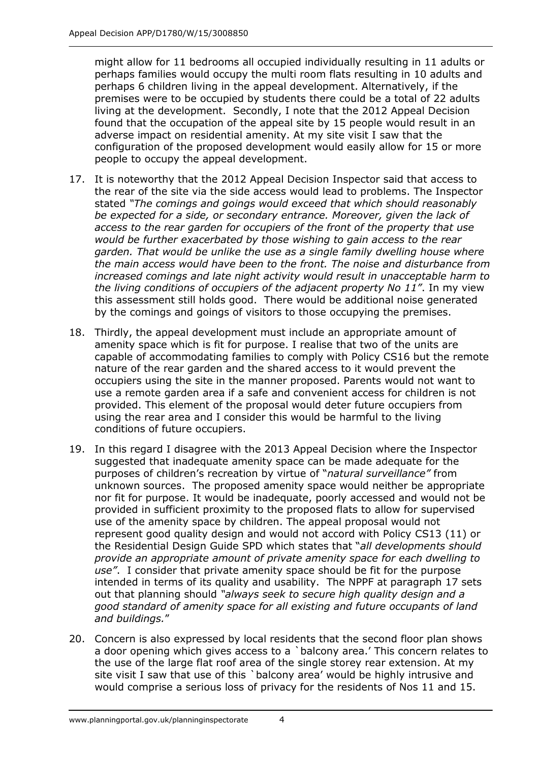might allow for 11 bedrooms all occupied individually resulting in 11 adults or perhaps families would occupy the multi room flats resulting in 10 adults and perhaps 6 children living in the appeal development. Alternatively, if the premises were to be occupied by students there could be a total of 22 adults living at the development. Secondly, I note that the 2012 Appeal Decision found that the occupation of the appeal site by 15 people would result in an adverse impact on residential amenity. At my site visit I saw that the configuration of the proposed development would easily allow for 15 or more people to occupy the appeal development.

- 17. It is noteworthy that the 2012 Appeal Decision Inspector said that access to the rear of the site via the side access would lead to problems. The Inspector stated *"The comings and goings would exceed that which should reasonably be expected for a side, or secondary entrance. Moreover, given the lack of access to the rear garden for occupiers of the front of the property that use would be further exacerbated by those wishing to gain access to the rear garden. That would be unlike the use as a single family dwelling house where the main access would have been to the front. The noise and disturbance from increased comings and late night activity would result in unacceptable harm to the living conditions of occupiers of the adjacent property No 11"*. In my view this assessment still holds good. There would be additional noise generated by the comings and goings of visitors to those occupying the premises.
- 18. Thirdly, the appeal development must include an appropriate amount of amenity space which is fit for purpose. I realise that two of the units are capable of accommodating families to comply with Policy CS16 but the remote nature of the rear garden and the shared access to it would prevent the occupiers using the site in the manner proposed. Parents would not want to use a remote garden area if a safe and convenient access for children is not provided. This element of the proposal would deter future occupiers from using the rear area and I consider this would be harmful to the living conditions of future occupiers.
- 19. In this regard I disagree with the 2013 Appeal Decision where the Inspector suggested that inadequate amenity space can be made adequate for the purposes of children's recreation by virtue of "*natural surveillance"* from unknown sources. The proposed amenity space would neither be appropriate nor fit for purpose. It would be inadequate, poorly accessed and would not be provided in sufficient proximity to the proposed flats to allow for supervised use of the amenity space by children. The appeal proposal would not represent good quality design and would not accord with Policy CS13 (11) or the Residential Design Guide SPD which states that "*all developments should provide an appropriate amount of private amenity space for each dwelling to use"*. I consider that private amenity space should be fit for the purpose intended in terms of its quality and usability. The NPPF at paragraph 17 sets out that planning should *"always seek to secure high quality design and a good standard of amenity space for all existing and future occupants of land and buildings.*"
- 20. Concern is also expressed by local residents that the second floor plan shows a door opening which gives access to a `balcony area.' This concern relates to the use of the large flat roof area of the single storey rear extension. At my site visit I saw that use of this `balcony area' would be highly intrusive and would comprise a serious loss of privacy for the residents of Nos 11 and 15.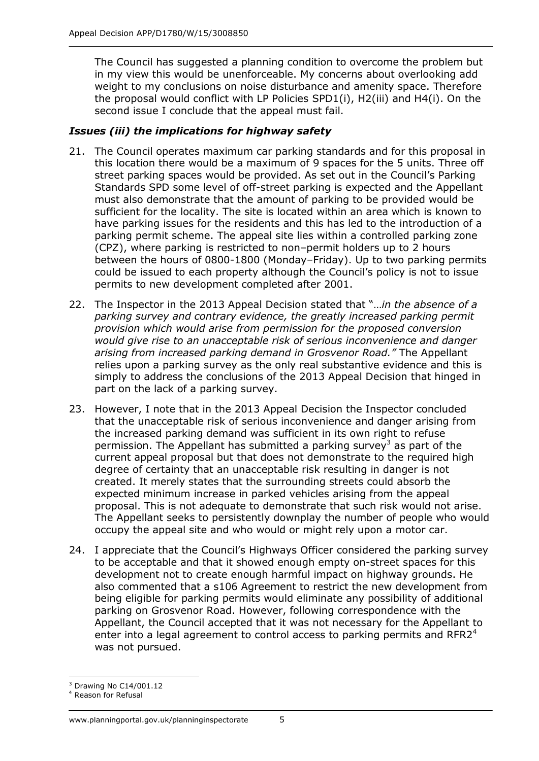The Council has suggested a planning condition to overcome the problem but in my view this would be unenforceable. My concerns about overlooking add weight to my conclusions on noise disturbance and amenity space. Therefore the proposal would conflict with LP Policies SPD1(i), H2(iii) and H4(i). On the second issue I conclude that the appeal must fail.

# *Issues (iii) the implications for highway safety*

- 21. The Council operates maximum car parking standards and for this proposal in this location there would be a maximum of 9 spaces for the 5 units. Three off street parking spaces would be provided. As set out in the Council's Parking Standards SPD some level of off-street parking is expected and the Appellant must also demonstrate that the amount of parking to be provided would be sufficient for the locality. The site is located within an area which is known to have parking issues for the residents and this has led to the introduction of a parking permit scheme. The appeal site lies within a controlled parking zone (CPZ), where parking is restricted to non–permit holders up to 2 hours between the hours of 0800-1800 (Monday–Friday). Up to two parking permits could be issued to each property although the Council's policy is not to issue permits to new development completed after 2001.
- 22. The Inspector in the 2013 Appeal Decision stated that "…*in the absence of a parking survey and contrary evidence, the greatly increased parking permit provision which would arise from permission for the proposed conversion would give rise to an unacceptable risk of serious inconvenience and danger arising from increased parking demand in Grosvenor Road."* The Appellant relies upon a parking survey as the only real substantive evidence and this is simply to address the conclusions of the 2013 Appeal Decision that hinged in part on the lack of a parking survey.
- 23. However, I note that in the 2013 Appeal Decision the Inspector concluded that the unacceptable risk of serious inconvenience and danger arising from the increased parking demand was sufficient in its own right to refuse permission. The Appellant has submitted a parking survey<sup>3</sup> as part of the current appeal proposal but that does not demonstrate to the required high degree of certainty that an unacceptable risk resulting in danger is not created. It merely states that the surrounding streets could absorb the expected minimum increase in parked vehicles arising from the appeal proposal. This is not adequate to demonstrate that such risk would not arise. The Appellant seeks to persistently downplay the number of people who would occupy the appeal site and who would or might rely upon a motor car.
- 24. I appreciate that the Council's Highways Officer considered the parking survey to be acceptable and that it showed enough empty on-street spaces for this development not to create enough harmful impact on highway grounds. He also commented that a s106 Agreement to restrict the new development from being eligible for parking permits would eliminate any possibility of additional parking on Grosvenor Road. However, following correspondence with the Appellant, the Council accepted that it was not necessary for the Appellant to enter into a legal agreement to control access to parking permits and RFR2 $4$ was not pursued.

<sup>-</sup> $3$  Drawing No C14/001.12

<sup>4</sup> Reason for Refusal